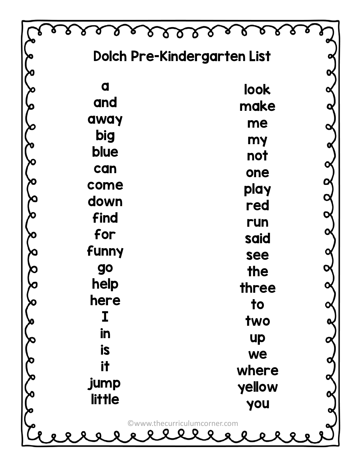|               | Dolch Pre-Kindergarten List  |  |
|---------------|------------------------------|--|
|               |                              |  |
| a             | look                         |  |
| and           | make                         |  |
| away          | me                           |  |
| big           | my                           |  |
| blue          | not                          |  |
| can<br>come   | one                          |  |
| down          | play                         |  |
| find          | red                          |  |
| for           | run                          |  |
| funny         | said                         |  |
| <b>go</b>     | see<br>the                   |  |
| help          | three                        |  |
| here          | to                           |  |
|               | two                          |  |
| in            | <b>up</b>                    |  |
| <b>is</b>     | we                           |  |
| it            | where                        |  |
| jump          | yellow                       |  |
| <b>little</b> | you                          |  |
|               | ©www.thecurriculumcorner.com |  |
|               | <b>D</b><br>$\bullet$        |  |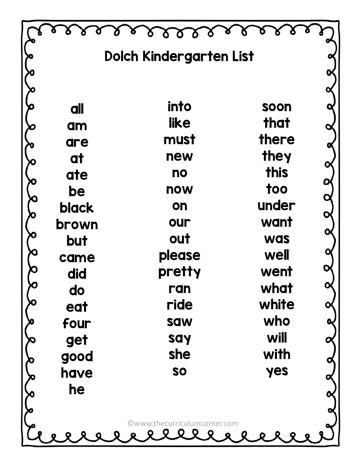|              | Dolch Kindergarten List      |              |  |
|--------------|------------------------------|--------------|--|
|              |                              |              |  |
|              |                              |              |  |
| all          | into                         | soon         |  |
| am           | like                         | that         |  |
| are          | must                         | there        |  |
| at           | new                          | they         |  |
| ate          | no                           | this         |  |
| be           | now                          | too          |  |
| <b>black</b> | on                           | under        |  |
| brown        | our                          | want         |  |
| but          | out                          | <b>was</b>   |  |
| came         | please<br>pretty             | well<br>went |  |
| did          | ran                          | what         |  |
| do           | ride                         | white        |  |
| eat<br>four  | saw                          | who          |  |
| get          | say                          | will         |  |
| good         | she                          | with         |  |
| have         | SO                           | yes          |  |
| he           |                              |              |  |
|              |                              |              |  |
|              | ©www.thecurriculumcorner.com |              |  |
|              | <b>Q</b><br>O                |              |  |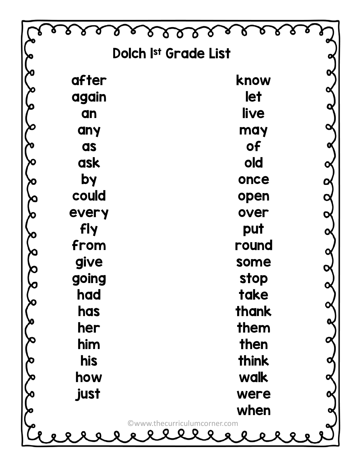|             | Dolch Ist Grade List         |  |
|-------------|------------------------------|--|
| after       | know                         |  |
| again       | let                          |  |
| an          | live                         |  |
| any         | may                          |  |
| as          | <b>of</b>                    |  |
| ask         | old                          |  |
| by          | once                         |  |
| could       | open                         |  |
| every       | over                         |  |
| fly<br>from | put<br>round                 |  |
| give        | some                         |  |
| going       | stop                         |  |
| had         | take                         |  |
| has         | thank                        |  |
| her         | them                         |  |
| him         | then                         |  |
| his         | think                        |  |
| how         | walk                         |  |
| just        | were                         |  |
|             | when                         |  |
|             | ©www.thecurriculumcorner.com |  |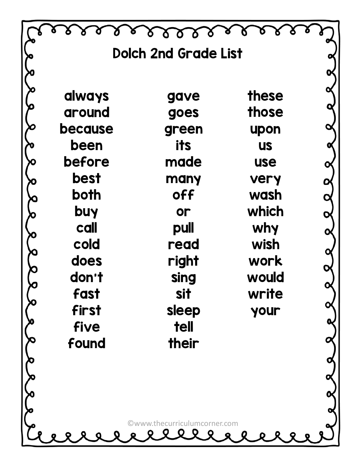|               | <b>Dolch 2nd Grade List</b>  |                    |  |
|---------------|------------------------------|--------------------|--|
|               |                              |                    |  |
| <b>always</b> | gave                         | these              |  |
| around        | goes                         | those              |  |
| because       | green                        | upon               |  |
| been          | its                          | <b>US</b>          |  |
| before        | made                         | <b>use</b>         |  |
| <b>best</b>   | many                         | very               |  |
| both          | off                          | wash               |  |
| buy           | or                           | which              |  |
| call<br>cold  | pull<br>read                 | <b>why</b><br>wish |  |
| does          | right                        | work               |  |
| don't         | sing                         | would              |  |
| <b>fast</b>   | <b>sit</b>                   | write              |  |
| first         | sleep                        | your               |  |
| five          | <b>tell</b>                  |                    |  |
| found         | their                        |                    |  |
|               |                              |                    |  |
|               |                              |                    |  |
|               |                              |                    |  |
|               | ©www.thecurriculumcorner.com |                    |  |
|               | $\bullet$                    |                    |  |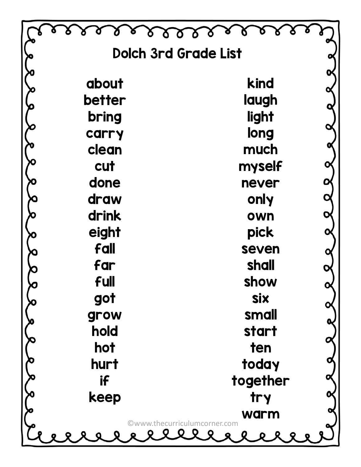| <b>Dolch 3rd Grade List</b> |                                             |  |
|-----------------------------|---------------------------------------------|--|
| about                       | kind                                        |  |
| better                      | laugh                                       |  |
| bring                       | light                                       |  |
| carry                       | long                                        |  |
| clean                       | much                                        |  |
| cut                         | myself                                      |  |
| done                        | never                                       |  |
| draw                        | only                                        |  |
| drink                       | own                                         |  |
| eight                       | pick                                        |  |
| fall                        | seven                                       |  |
| far<br><b>full</b>          | shall<br>show                               |  |
| got                         | <b>Six</b>                                  |  |
| grow                        | small                                       |  |
| hold                        | start                                       |  |
| hot                         | ten                                         |  |
| hurt                        | today                                       |  |
| if                          | together                                    |  |
| keep                        | <b>try</b>                                  |  |
|                             | <b>warm</b><br>©www.thecurriculumcorner.com |  |
|                             |                                             |  |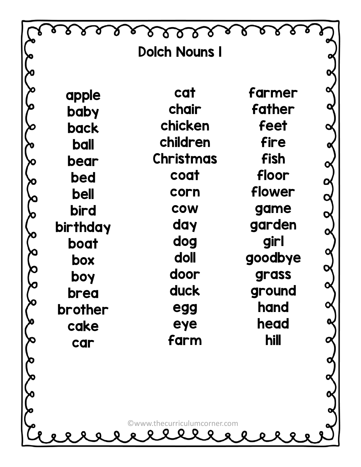|             | <b>Dolch Nouns I</b>                       |         |  |
|-------------|--------------------------------------------|---------|--|
|             |                                            |         |  |
| apple       | cat                                        | farmer  |  |
| baby        | chair                                      | father  |  |
| back        | chicken                                    | feet    |  |
| <b>ball</b> | children                                   | fire    |  |
| bear        | <b>Christmas</b>                           | fish    |  |
| bed         | coat                                       | floor   |  |
| bell        | corn                                       | flower  |  |
| bird        | <b>COW</b>                                 | game    |  |
| birthday    | day                                        | garden  |  |
| boat        | dog                                        | girl    |  |
| box         | doll                                       | goodbye |  |
| boy         | door                                       | grass   |  |
| brea        | duck                                       | ground  |  |
| brother     | egg                                        | hand    |  |
| cake        | eye                                        | head    |  |
| car         | farm                                       | hill    |  |
|             |                                            |         |  |
|             |                                            |         |  |
|             |                                            |         |  |
|             |                                            |         |  |
|             | ©www.thecurriculumcorner.com<br><b>QQQ</b> |         |  |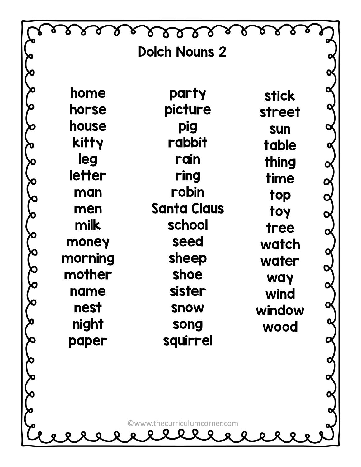|               | <b>Dolch Nouns 2</b>         |               |  |
|---------------|------------------------------|---------------|--|
|               |                              |               |  |
| home          | party                        | <b>stick</b>  |  |
| horse         | picture                      | <b>street</b> |  |
| house         | pig                          | <b>sun</b>    |  |
| <b>kitty</b>  | rabbit                       | table         |  |
| leg           | rain                         | thing         |  |
| <b>letter</b> | ring                         | time          |  |
| man           | robin                        | top           |  |
| men           | <b>Santa Claus</b>           | toy           |  |
| milk          | school                       | tree          |  |
| money         | seed                         | watch         |  |
| morning       | sheep                        | water         |  |
| mother        | shoe<br>sister               | <b>WAY</b>    |  |
| name<br>nest  |                              | wind          |  |
| night         | <b>SNOW</b>                  | window        |  |
| paper         | song<br>squirrel             | wood          |  |
|               |                              |               |  |
|               |                              |               |  |
|               |                              |               |  |
|               |                              |               |  |
|               | ©www.thecurriculumcorner.com |               |  |
|               | 0000 <sub>0</sub>            |               |  |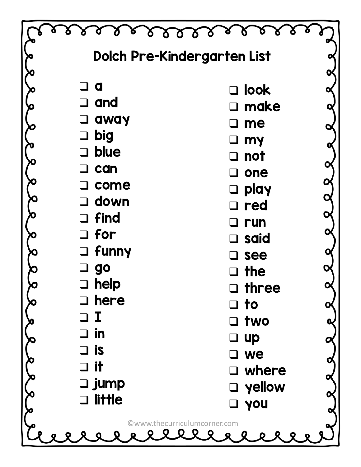|                                  | Dolch Pre-Kindergarten List  |  |
|----------------------------------|------------------------------|--|
|                                  |                              |  |
| a                                | $\square$ look               |  |
| $\square$ and                    | $\square$ make               |  |
| away                             | me                           |  |
| big<br>$\sqcup$                  | my                           |  |
| <b>blue</b><br>$\Box$            | <b>not</b>                   |  |
| can                              | one                          |  |
| come                             | play<br>$\Box$               |  |
| $\square$ down<br>$\square$ find | $\square$ red                |  |
| $\square$ for                    | run                          |  |
| $\Box$ funny                     | said                         |  |
| go                               | see                          |  |
| $\square$ help                   | the                          |  |
| here                             | three<br>$\Box$              |  |
| Ι                                | $\Box$ to                    |  |
| in                               | two                          |  |
| is                               | $\Box$ up<br>we              |  |
| it                               | $\Box$ where                 |  |
| □ jump                           | $\Box$ yellow                |  |
| <b>little</b>                    | <b>D</b> you                 |  |
|                                  | ©www.thecurriculumcorner.com |  |
|                                  | 9 Q Q Q Q                    |  |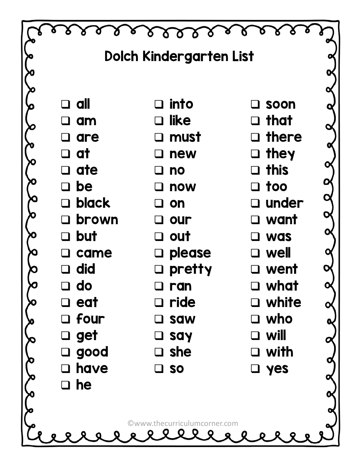|                | <b>Dolch Kindergarten List</b> |                |  |
|----------------|--------------------------------|----------------|--|
|                |                                |                |  |
|                |                                |                |  |
| $\Box$ all     | $\Box$ into                    | $\square$ soon |  |
| am             | like<br>$\Box$                 | $\Box$ that    |  |
| $\Box$ are     | $\square$ must                 | $\Box$ there   |  |
| $\Box$ at      | new<br>$\Box$                  | $\Box$ they    |  |
| $\Box$ ate     | $\Box$ no                      | $\Box$ this    |  |
| $\Box$ be      | $\square$ now                  | $\square$ too  |  |
| $\Box$ black   | on<br>$\mathbf{L}$             | $\Box$ under   |  |
| $\Box$ brown   | $\Box$ our                     | $\square$ want |  |
| $\Box$ but     | $\Box$ out                     | $\Box$ was     |  |
| came<br>$\Box$ | $\Box$ please                  | $\Box$ well    |  |
| $\Box$ did     | $\square$ pretty               | $\square$ went |  |
| $\Box$ do      | $\Box$<br>ran                  | $\square$ what |  |
| $\Box$ eat     | $\Box$ ride                    | $\Box$ white   |  |
| $\Box$ four    | □ saw                          | who<br>$\Box$  |  |
| $\Box$ get     | say                            | will<br>$\Box$ |  |
| good<br>$\Box$ | $\square$ she                  | $\square$ with |  |
| $\Box$ have    | $\square$ so                   | $\square$ yes  |  |
| $\Box$ he      |                                |                |  |
|                |                                |                |  |
|                | ©www.thecurriculumcorner.com   |                |  |
|                | <b>QQQ</b>                     |                |  |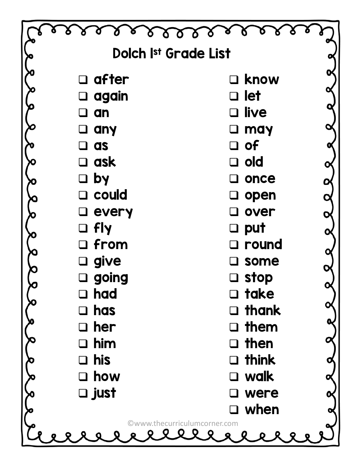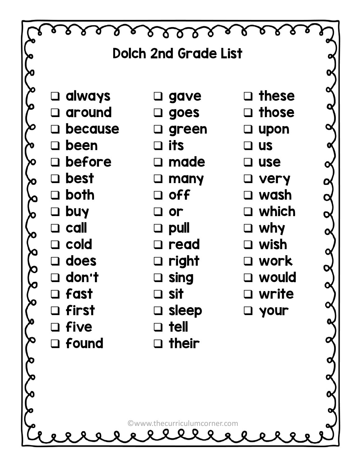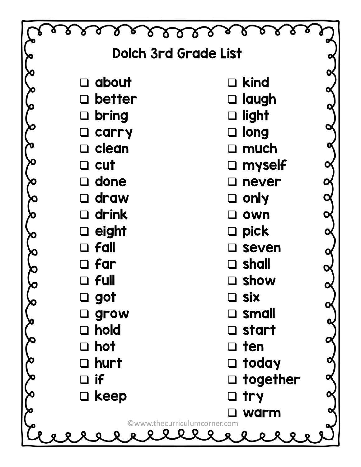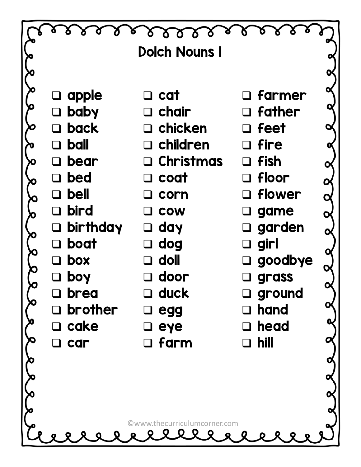|                                                | <b>Dolch Nouns I</b>                    |                                     |  |
|------------------------------------------------|-----------------------------------------|-------------------------------------|--|
|                                                |                                         |                                     |  |
| $\Box$ apple                                   | $\Box$ cat                              | $\Box$ farmer                       |  |
| $\Box$ baby                                    | $\Box$ chair                            | $\Box$ father                       |  |
| back                                           | $\Box$ chicken                          | $\Box$ feet                         |  |
| <b>ball</b><br>$\Box$                          | $\Box$ children                         | $\Box$ fire                         |  |
| bear<br>$\blacksquare$                         | $\Box$ Christmas                        | $\Box$ fish                         |  |
| bed<br>$\Box$                                  | $\Box$ coat                             | $\Box$ floor                        |  |
| <b>bell</b><br>$\overline{\mathsf{U}}$         | $\Box$ corn                             | □ flower                            |  |
| bird<br>$\Box$                                 | $\Box$ cow                              | $\square$ game                      |  |
| $\Box$ birthday                                | $\Box$ day                              | $\Box$ garden                       |  |
| boat<br>$\begin{array}{c} \square \end{array}$ | $\Box$ dog                              | $\Box$ girl                         |  |
| box                                            | doll<br>$\Box$                          | □ goodbye                           |  |
| boy<br>brea                                    | $\square$ door<br>$\square$ duck        | $\square$ grass<br>$\square$ ground |  |
| brother                                        | $\square$ egg                           | hand                                |  |
| cake                                           | eye                                     | head                                |  |
| car                                            | $\Box$ farm                             | hill<br>$\blacksquare$              |  |
|                                                |                                         |                                     |  |
|                                                |                                         |                                     |  |
|                                                |                                         |                                     |  |
|                                                |                                         |                                     |  |
|                                                | ©www.thecurriculumcorner.com<br>O Q Q Q |                                     |  |